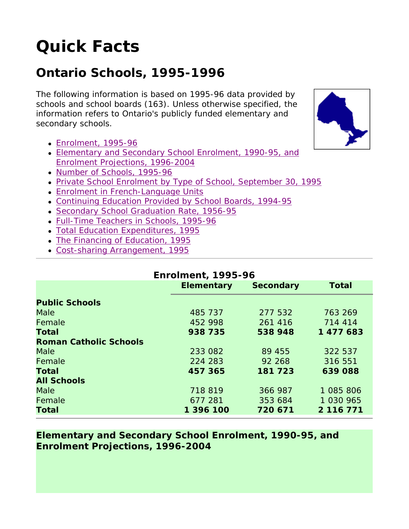# **Quick Facts**

## **Ontario Schools, 1995-1996**

The following information is based on 1995-96 data provided by schools and school boards (163). Unless otherwise specified, the information refers to Ontario's publicly funded elementary and secondary schools.

- Enrolment, 1995-96
- Elementary and Secondary School Enrolment, 1990-95, and Enrolment Projections, 1996-2004
- Number of Schools, 1995-96
- Private School Enrolment by Type of School, September 30, 1995
- Enrolment in French-Language Units
- Continuing Education Provided by School Boards, 1994-95
- Secondary School Graduation Rate, 1956-95
- Full-Time Teachers in Schools, 1995-96
- Total Education Expenditures, 1995
- The Financing of Education, 1995
- Cost-sharing Arrangement, 1995

#### **Enrolment, 1995-96**

|                               | <b>Elementary</b> | <b>Secondary</b> | <b>Total</b> |
|-------------------------------|-------------------|------------------|--------------|
| <b>Public Schools</b>         |                   |                  |              |
| <b>Male</b>                   | 485 737           | 277 532          | 763 269      |
| Female                        | 452 998           | 261 416          | 714 414      |
| <b>Total</b>                  | 938 735           | 538 948          | 1 477 683    |
| <b>Roman Catholic Schools</b> |                   |                  |              |
| <b>Male</b>                   | 233 082           | 89 455           | 322 537      |
| Female                        | 224 283           | 92 268           | 316 551      |
| <b>Total</b>                  | 457 365           | 181 723          | 639088       |
| <b>All Schools</b>            |                   |                  |              |
| <b>Male</b>                   | 718 819           | 366 987          | 1 085 806    |
| Female                        | 677 281           | 353 684          | 1 030 965    |
| <b>Total</b>                  | 1 396 100         | 720 671          | 2 116 771    |

#### **Elementary and Secondary School Enrolment, 1990-95, and Enrolment Projections, 1996-2004**

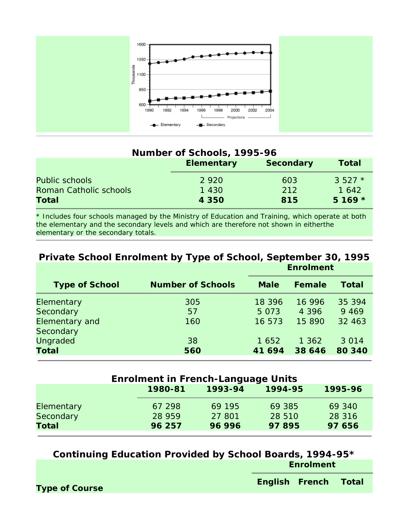

#### **Number of Schools, 1995-96**

|                        | <b>Elementary</b> | <b>Secondary</b> | Total    |
|------------------------|-------------------|------------------|----------|
| Public schools         | 2 9 2 0           | <b>603</b>       | $3.527*$ |
| Roman Catholic schools | 1 430             | 212              | 1 642    |
| <b>Total</b>           | 4 3 5 0           | 815              | $5169 *$ |

\* Includes four schools managed by the Ministry of Education and Training, which operate at both the elementary and the secondary levels and which are therefore not shown in eitherthe elementary or the secondary totals.

#### **Private School Enrolment by Type of School, September 30, 1995 Enrolment**

| <b>Type of School</b> | <b>Number of Schools</b> | <b>Male</b> | Female  | Total   |
|-----------------------|--------------------------|-------------|---------|---------|
| Elementary            | 305                      | 18 3 9 6    | 16 996  | 35 394  |
| Secondary             | 57                       | 5 0 7 3     | 4 3 9 6 | 9 4 6 9 |
| <b>Elementary and</b> | 160                      | 16 573      | 15 890  | 32 463  |
| Secondary             |                          |             |         |         |
| <b>Ungraded</b>       | 38                       | 1 652       | 1 362   | 3 0 1 4 |
| <b>Total</b>          | 560                      | 41 694      | 38 646  | 80 340  |

| <b>Enrolment in French-Language Units</b> |         |         |         |         |  |
|-------------------------------------------|---------|---------|---------|---------|--|
|                                           | 1980-81 | 1993-94 | 1994-95 | 1995-96 |  |
| Elementary                                | 67 298  | 69 195  | 69 385  | 69 340  |  |
| <b>Secondary</b>                          | 28 959  | 27 801  | 28 510  | 28 3 16 |  |
| <b>Total</b>                              | 96 257  | 96 996  | 97895   | 97 656  |  |

**Continuing Education Provided by School Boards, 1994-95\* Enrolment**

**Type of Course English French Total**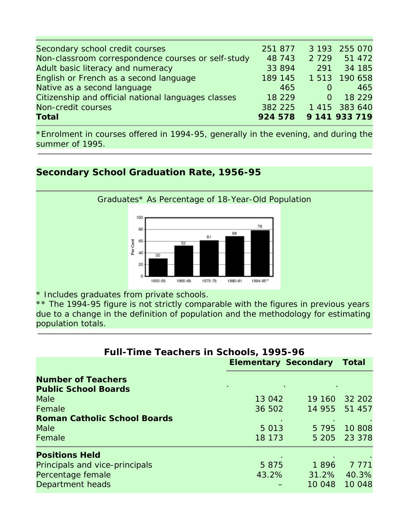| Secondary school credit courses                     | 251 877               |         | 3 193 255 070 |
|-----------------------------------------------------|-----------------------|---------|---------------|
| Non-classroom correspondence courses or self-study  | 48 743                | 2 7 2 9 | 51 472        |
| Adult basic literacy and numeracy                   | 33 894                | 291     | 34 185        |
| English or French as a second language              | 189 145               |         | 1 513 190 658 |
| Native as a second language                         | 465                   |         | 465           |
| Citizenship and official national languages classes | 18 2 2 9              |         | 18 2 2 9      |
| Non-credit courses                                  | 382 225               |         | 1 415 383 640 |
| <b>Total</b>                                        | 924 578 9 141 933 719 |         |               |

\*Enrolment in courses offered in 1994-95, generally in the evening, and during the summer of 1995.

#### **Secondary School Graduation Rate, 1956-95**



\* Includes graduates from private schools.

\*\* The 1994-95 figure is not strictly comparable with the figures in previous years due to a change in the definition of population and the methodology for estimating population totals.

| <b>Full-Time Teachers in Schools, 1995-96</b> |                             |              |         |  |
|-----------------------------------------------|-----------------------------|--------------|---------|--|
|                                               | <b>Elementary Secondary</b> | <b>Total</b> |         |  |
| <b>Number of Teachers</b>                     |                             |              |         |  |
| <b>Public School Boards</b>                   |                             |              |         |  |
| Male                                          | 13 042                      | 19 160       | 32 202  |  |
| Female                                        | 36 502                      | 14 955       | 51 457  |  |
| <b>Roman Catholic School Boards</b>           |                             |              |         |  |
| Male                                          | 5 0 1 3                     | 5 7 9 5      | 10 808  |  |
| Female                                        | 18 173                      | 5 205        | 23 378  |  |
| <b>Positions Held</b>                         |                             |              |         |  |
| Principals and vice-principals                | 5 8 7 5                     | 1896         | 7 7 7 1 |  |
| Percentage female                             | 43.2%                       | 31.2%        | 40.3%   |  |
| Department heads                              |                             | 10 048       | 10 048  |  |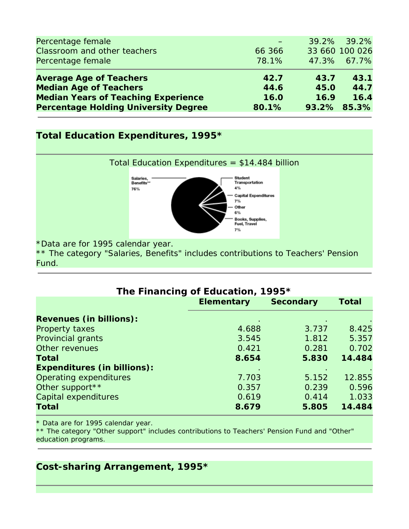| Percentage female                           |        |      | 39.2% 39.2%    |
|---------------------------------------------|--------|------|----------------|
| Classroom and other teachers                | 66 366 |      | 33 660 100 026 |
| Percentage female                           | 78.1%  |      | 47.3% 67.7%    |
| <b>Average Age of Teachers</b>              | 42.7   | 43.7 | 43.1           |
| <b>Median Age of Teachers</b>               | 44.6   | 45.0 | 44.7           |
| <b>Median Years of Teaching Experience</b>  | 16.0   | 16.9 | 16.4           |
| <b>Percentage Holding University Degree</b> | 80.1%  |      | 93.2% 85.3%    |

#### **Total Education Expenditures, 1995\***



Fund.

| The Financing of Education, 1995*  |                   |                  |              |  |  |
|------------------------------------|-------------------|------------------|--------------|--|--|
|                                    | <b>Elementary</b> | <b>Secondary</b> | <b>Total</b> |  |  |
| <b>Revenues (in billions):</b>     |                   |                  |              |  |  |
| Property taxes                     | 4.688             | 3.737            | 8.425        |  |  |
| Provincial grants                  | 3.545             | 1.812            | 5.357        |  |  |
| Other revenues                     | 0.421             | 0.281            | 0.702        |  |  |
| Total                              | 8.654             | 5.830            | 14.484       |  |  |
| <b>Expenditures (in billions):</b> |                   |                  |              |  |  |
| Operating expenditures             | 7.703             | 5.152            | 12.855       |  |  |
| Other support **                   | 0.357             | 0.239            | 0.596        |  |  |
| Capital expenditures               | 0.619             | 0.414            | 1.033        |  |  |
| <b>Total</b>                       | 8.679             | 5.805            | 14.484       |  |  |

\* Data are for 1995 calendar year.

\*\* The category "Other support" includes contributions to Teachers' Pension Fund and "Other" education programs.

### **Cost-sharing Arrangement, 1995\***